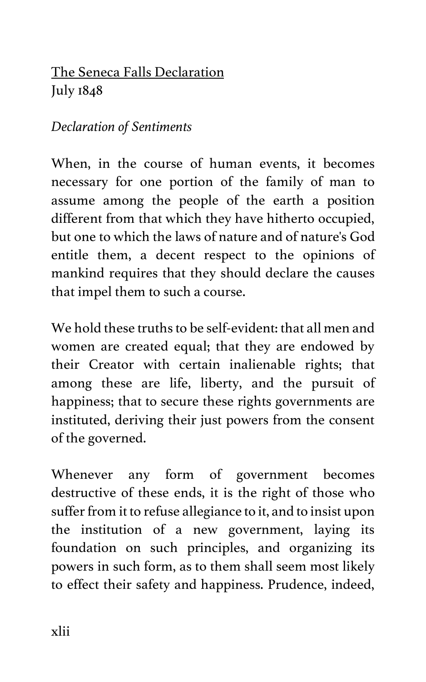# The Seneca Falls Declaration July 1848

## *Declaration of Sentiments*

When, in the course of human events, it becomes necessary for one portion of the family of man to assume among the people of the earth a position different from that which they have hitherto occupied, but one to which the laws of nature and of nature's God entitle them, a decent respect to the opinions of mankind requires that they should declare the causes that impel them to such a course.

We hold these truths to be self-evident: that all men and women are created equal; that they are endowed by their Creator with certain inalienable rights; that among these are life, liberty, and the pursuit of happiness; that to secure these rights governments are instituted, deriving their just powers from the consent of the governed.

Whenever any form of government becomes destructive of these ends, it is the right of those who suffer from it to refuse allegiance to it, and to insist upon the institution of a new government, laying its foundation on such principles, and organizing its powers in such form, as to them shall seem most likely to effect their safety and happiness. Prudence, indeed,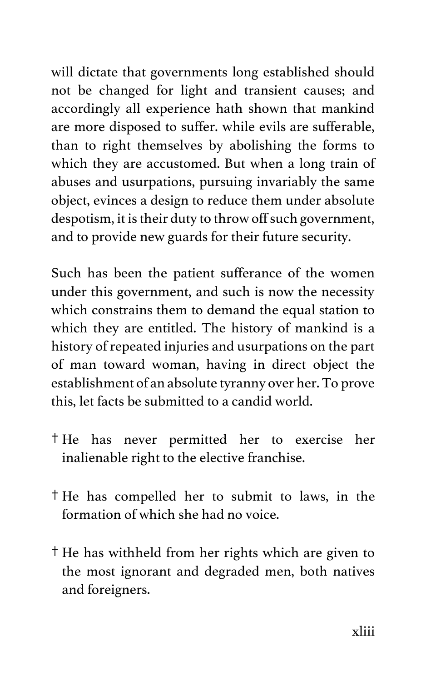will dictate that governments long established should not be changed for light and transient causes; and accordingly all experience hath shown that mankind are more disposed to suffer. while evils are sufferable, than to right themselves by abolishing the forms to which they are accustomed. But when a long train of abuses and usurpations, pursuing invariably the same object, evinces a design to reduce them under absolute despotism, it is their duty to throw off such government, and to provide new guards for their future security.

Such has been the patient sufferance of the women under this government, and such is now the necessity which constrains them to demand the equal station to which they are entitled. The history of mankind is a history of repeated injuries and usurpations on the part of man toward woman, having in direct object the establishment of an absolute tyranny over her. To prove this, let facts be submitted to a candid world.

- † He has never permitted her to exercise her inalienable right to the elective franchise.
- † He has compelled her to submit to laws, in the formation of which she had no voice.
- † He has withheld from her rights which are given to the most ignorant and degraded men, both natives and foreigners.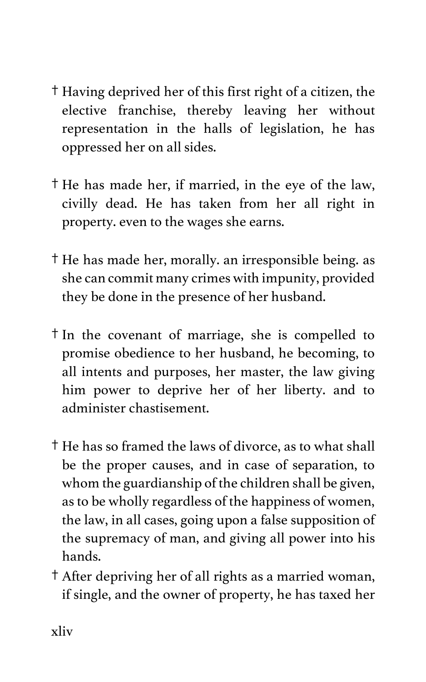- † Having deprived her of this first right of a citizen, the elective franchise, thereby leaving her without representation in the halls of legislation, he has oppressed her on all sides.
- † He has made her, if married, in the eye of the law, civilly dead. He has taken from her all right in property. even to the wages she earns.
- † He has made her, morally. an irresponsible being. as she can commit many crimes with impunity, provided they be done in the presence of her husband.
- † In the covenant of marriage, she is compelled to promise obedience to her husband, he becoming, to all intents and purposes, her master, the law giving him power to deprive her of her liberty. and to administer chastisement.
- † He has so framed the laws of divorce, as to what shall be the proper causes, and in case of separation, to whom the guardianship of the children shall be given, as to be wholly regardless of the happiness of women, the law, in all cases, going upon a false supposition of the supremacy of man, and giving all power into his hands.
- † After depriving her of all rights as a married woman, if single, and the owner of property, he has taxed her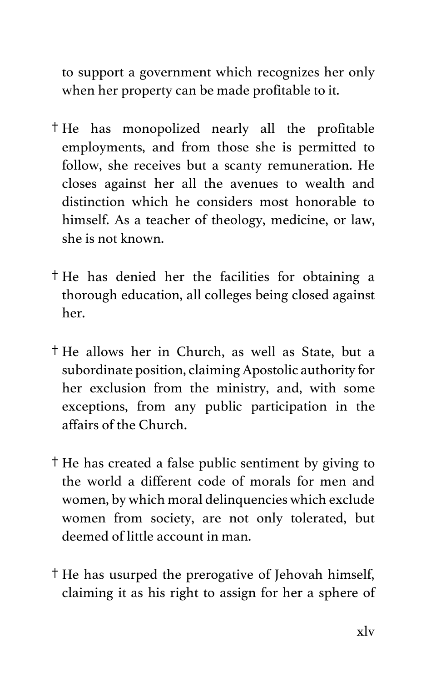to support a government which recognizes her only when her property can be made profitable to it.

- † He has monopolized nearly all the profitable employments, and from those she is permitted to follow, she receives but a scanty remuneration. He closes against her all the avenues to wealth and distinction which he considers most honorable to himself. As a teacher of theology, medicine, or law, she is not known.
- † He has denied her the facilities for obtaining a thorough education, all colleges being closed against her.
- † He allows her in Church, as well as State, but a subordinate position, claiming Apostolic authority for her exclusion from the ministry, and, with some exceptions, from any public participation in the affairs of the Church.
- † He has created a false public sentiment by giving to the world a different code of morals for men and women, by which moral delinquencies which exclude women from society, are not only tolerated, but deemed of little account in man.
- † He has usurped the prerogative of Jehovah himself, claiming it as his right to assign for her a sphere of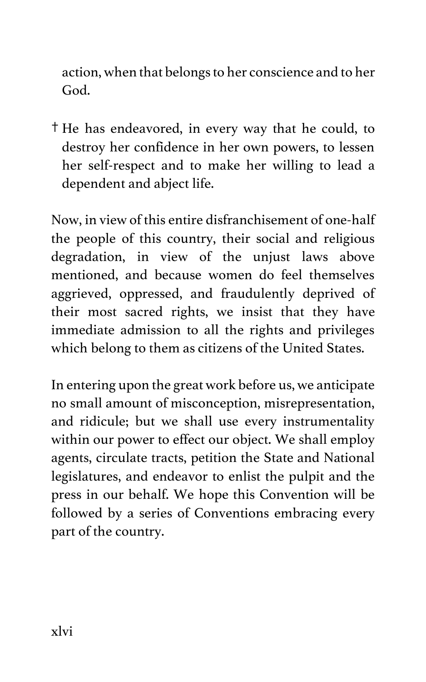action, when that belongs to her conscience and to her God.

† He has endeavored, in every way that he could, to destroy her confidence in her own powers, to lessen her self-respect and to make her willing to lead a dependent and abject life.

Now, in view of this entire disfranchisement of one-half the people of this country, their social and religious degradation, in view of the unjust laws above mentioned, and because women do feel themselves aggrieved, oppressed, and fraudulently deprived of their most sacred rights, we insist that they have immediate admission to all the rights and privileges which belong to them as citizens of the United States.

In entering upon the great work before us, we anticipate no small amount of misconception, misrepresentation, and ridicule; but we shall use every instrumentality within our power to effect our object. We shall employ agents, circulate tracts, petition the State and National legislatures, and endeavor to enlist the pulpit and the press in our behalf. We hope this Convention will be followed by a series of Conventions embracing every part of the country.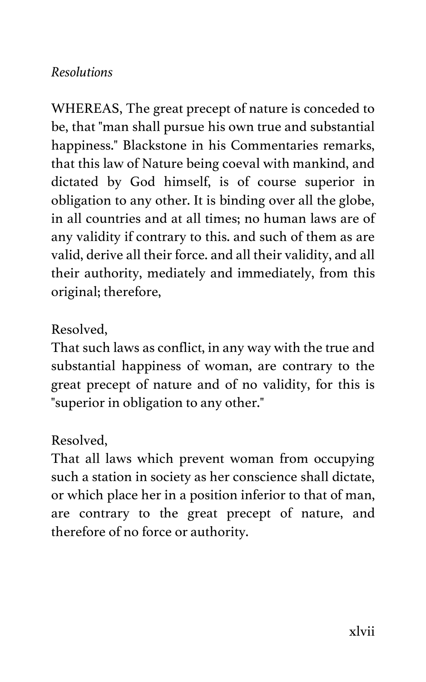### *Resolutions*

WHEREAS, The great precept of nature is conceded to be, that "man shall pursue his own true and substantial happiness." Blackstone in his Commentaries remarks, that this law of Nature being coeval with mankind, and dictated by God himself, is of course superior in obligation to any other. It is binding over all the globe, in all countries and at all times; no human laws are of any validity if contrary to this. and such of them as are valid, derive all their force. and all their validity, and all their authority, mediately and immediately, from this original; therefore,

#### Resolved,

That such laws as conflict, in any way with the true and substantial happiness of woman, are contrary to the great precept of nature and of no validity, for this is "superior in obligation to any other."

#### Resolved,

That all laws which prevent woman from occupying such a station in society as her conscience shall dictate, or which place her in a position inferior to that of man, are contrary to the great precept of nature, and therefore of no force or authority.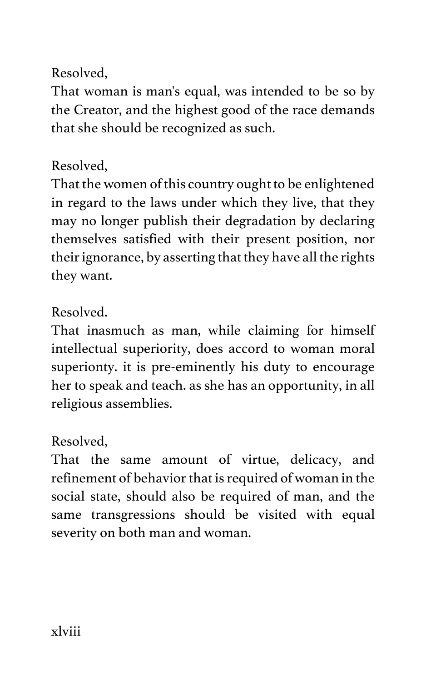## Resolved,

That woman is man's equal, was intended to be so by the Creator, and the highest good of the race demands that she should be recognized as such.

## Resolved,

That the women of this country ought to be enlightened in regard to the laws under which they live, that they may no longer publish their degradation by declaring themselves satisfied with their present position, nor their ignorance, by asserting that they have all the rights they want.

# Resolved.

That inasmuch as man, while claiming for himself intellectual superiority, does accord to woman moral superionty. it is pre-eminently his duty to encourage her to speak and teach. as she has an opportunity, in all religious assemblies.

# Resolved,

That the same amount of virtue, delicacy, and refinement of behavior that is required of woman in the social state, should also be required of man, and the same transgressions should be visited with equal severity on both man and woman.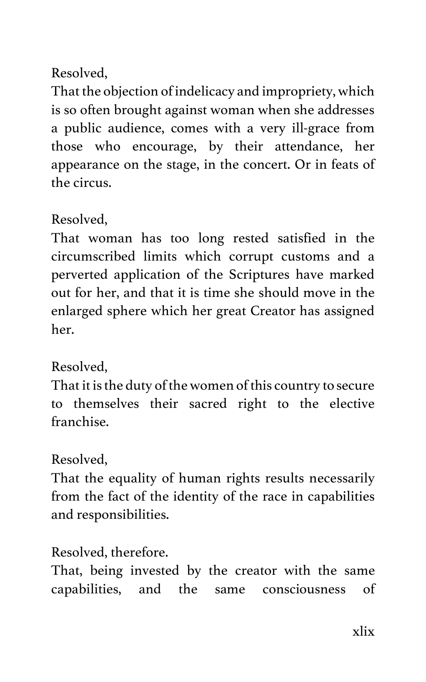## Resolved,

That the objection of indelicacy and impropriety, which is so often brought against woman when she addresses a public audience, comes with a very ill-grace from those who encourage, by their attendance, her appearance on the stage, in the concert. Or in feats of the circus.

## Resolved,

That woman has too long rested satisfied in the circumscribed limits which corrupt customs and a perverted application of the Scriptures have marked out for her, and that it is time she should move in the enlarged sphere which her great Creator has assigned her.

## Resolved,

That it is the duty of the women of this country to secure to themselves their sacred right to the elective franchise.

## Resolved,

That the equality of human rights results necessarily from the fact of the identity of the race in capabilities and responsibilities.

## Resolved, therefore.

That, being invested by the creator with the same capabilities, and the same consciousness of